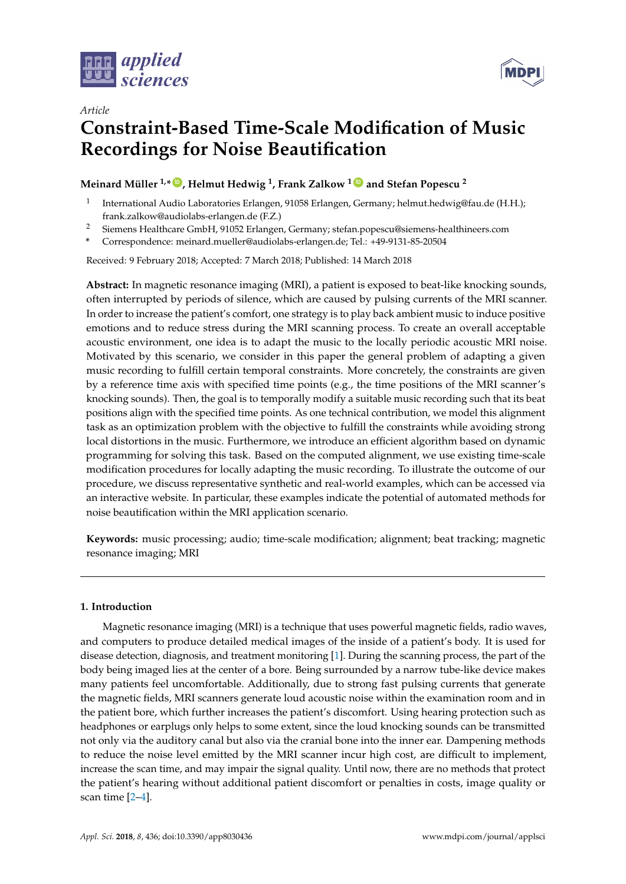

*Article*



# **Constraint-Based Time-Scale Modification of Music Recordings for Noise Beautification**

## **Meinard Müller 1,\* [ID](https://orcid.org/0000-0001-6062-7524) , Helmut Hedwig <sup>1</sup> , Frank Zalkow <sup>1</sup> [ID](https://orcid.org/0000-0003-1383-4541) and Stefan Popescu <sup>2</sup>**

- 1 International Audio Laboratories Erlangen, 91058 Erlangen, Germany; helmut.hedwig@fau.de (H.H.); frank.zalkow@audiolabs-erlangen.de (F.Z.)
- <sup>2</sup> Siemens Healthcare GmbH, 91052 Erlangen, Germany; stefan.popescu@siemens-healthineers.com
- **\*** Correspondence: meinard.mueller@audiolabs-erlangen.de; Tel.: +49-9131-85-20504

Received: 9 February 2018; Accepted: 7 March 2018; Published: 14 March 2018

**Abstract:** In magnetic resonance imaging (MRI), a patient is exposed to beat-like knocking sounds, often interrupted by periods of silence, which are caused by pulsing currents of the MRI scanner. In order to increase the patient's comfort, one strategy is to play back ambient music to induce positive emotions and to reduce stress during the MRI scanning process. To create an overall acceptable acoustic environment, one idea is to adapt the music to the locally periodic acoustic MRI noise. Motivated by this scenario, we consider in this paper the general problem of adapting a given music recording to fulfill certain temporal constraints. More concretely, the constraints are given by a reference time axis with specified time points (e.g., the time positions of the MRI scanner's knocking sounds). Then, the goal is to temporally modify a suitable music recording such that its beat positions align with the specified time points. As one technical contribution, we model this alignment task as an optimization problem with the objective to fulfill the constraints while avoiding strong local distortions in the music. Furthermore, we introduce an efficient algorithm based on dynamic programming for solving this task. Based on the computed alignment, we use existing time-scale modification procedures for locally adapting the music recording. To illustrate the outcome of our procedure, we discuss representative synthetic and real-world examples, which can be accessed via an interactive website. In particular, these examples indicate the potential of automated methods for noise beautification within the MRI application scenario.

**Keywords:** music processing; audio; time-scale modification; alignment; beat tracking; magnetic resonance imaging; MRI

## **1. Introduction**

Magnetic resonance imaging (MRI) is a technique that uses powerful magnetic fields, radio waves, and computers to produce detailed medical images of the inside of a patient's body. It is used for disease detection, diagnosis, and treatment monitoring [\[1\]](#page-13-0). During the scanning process, the part of the body being imaged lies at the center of a bore. Being surrounded by a narrow tube-like device makes many patients feel uncomfortable. Additionally, due to strong fast pulsing currents that generate the magnetic fields, MRI scanners generate loud acoustic noise within the examination room and in the patient bore, which further increases the patient's discomfort. Using hearing protection such as headphones or earplugs only helps to some extent, since the loud knocking sounds can be transmitted not only via the auditory canal but also via the cranial bone into the inner ear. Dampening methods to reduce the noise level emitted by the MRI scanner incur high cost, are difficult to implement, increase the scan time, and may impair the signal quality. Until now, there are no methods that protect the patient's hearing without additional patient discomfort or penalties in costs, image quality or scan time [\[2–](#page-13-1)[4\]](#page-13-2).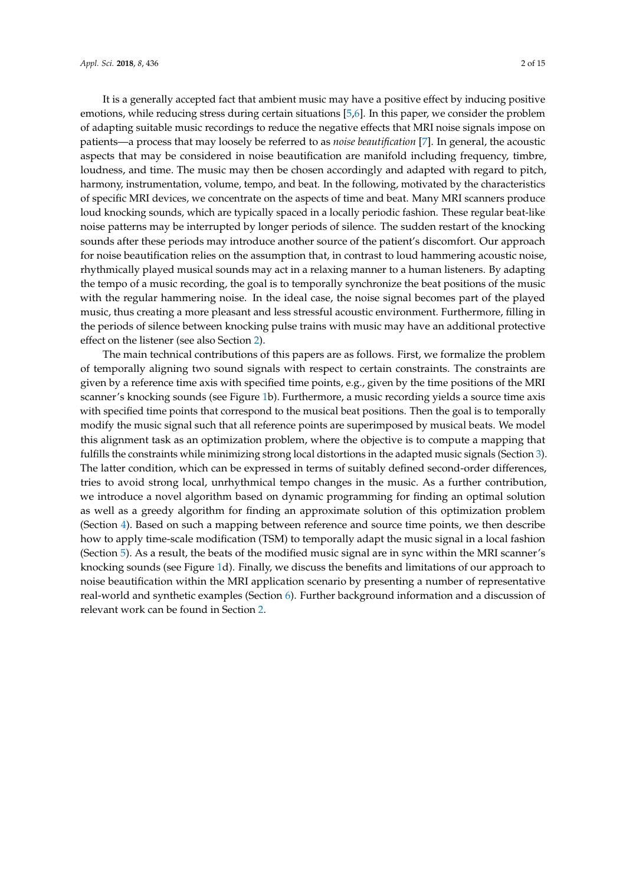It is a generally accepted fact that ambient music may have a positive effect by inducing positive emotions, while reducing stress during certain situations [\[5,](#page-13-3)[6\]](#page-13-4). In this paper, we consider the problem of adapting suitable music recordings to reduce the negative effects that MRI noise signals impose on patients—a process that may loosely be referred to as *noise beautification* [\[7\]](#page-13-5). In general, the acoustic aspects that may be considered in noise beautification are manifold including frequency, timbre, loudness, and time. The music may then be chosen accordingly and adapted with regard to pitch, harmony, instrumentation, volume, tempo, and beat. In the following, motivated by the characteristics of specific MRI devices, we concentrate on the aspects of time and beat. Many MRI scanners produce loud knocking sounds, which are typically spaced in a locally periodic fashion. These regular beat-like noise patterns may be interrupted by longer periods of silence. The sudden restart of the knocking sounds after these periods may introduce another source of the patient's discomfort. Our approach for noise beautification relies on the assumption that, in contrast to loud hammering acoustic noise, rhythmically played musical sounds may act in a relaxing manner to a human listeners. By adapting the tempo of a music recording, the goal is to temporally synchronize the beat positions of the music with the regular hammering noise. In the ideal case, the noise signal becomes part of the played music, thus creating a more pleasant and less stressful acoustic environment. Furthermore, filling in

effect on the listener (see also Section [2\)](#page-2-0). The main technical contributions of this papers are as follows. First, we formalize the problem of temporally aligning two sound signals with respect to certain constraints. The constraints are given by a reference time axis with specified time points, e.g., given by the time positions of the MRI scanner's knocking sounds (see Figure [1b](#page-2-1)). Furthermore, a music recording yields a source time axis with specified time points that correspond to the musical beat positions. Then the goal is to temporally modify the music signal such that all reference points are superimposed by musical beats. We model this alignment task as an optimization problem, where the objective is to compute a mapping that fulfills the constraints while minimizing strong local distortions in the adapted music signals (Section [3\)](#page-3-0). The latter condition, which can be expressed in terms of suitably defined second-order differences, tries to avoid strong local, unrhythmical tempo changes in the music. As a further contribution, we introduce a novel algorithm based on dynamic programming for finding an optimal solution as well as a greedy algorithm for finding an approximate solution of this optimization problem (Section [4\)](#page-5-0). Based on such a mapping between reference and source time points, we then describe how to apply time-scale modification (TSM) to temporally adapt the music signal in a local fashion (Section [5\)](#page-8-0). As a result, the beats of the modified music signal are in sync within the MRI scanner's knocking sounds (see Figure [1d](#page-2-1)). Finally, we discuss the benefits and limitations of our approach to noise beautification within the MRI application scenario by presenting a number of representative real-world and synthetic examples (Section [6\)](#page-9-0). Further background information and a discussion of relevant work can be found in Section [2.](#page-2-0)

the periods of silence between knocking pulse trains with music may have an additional protective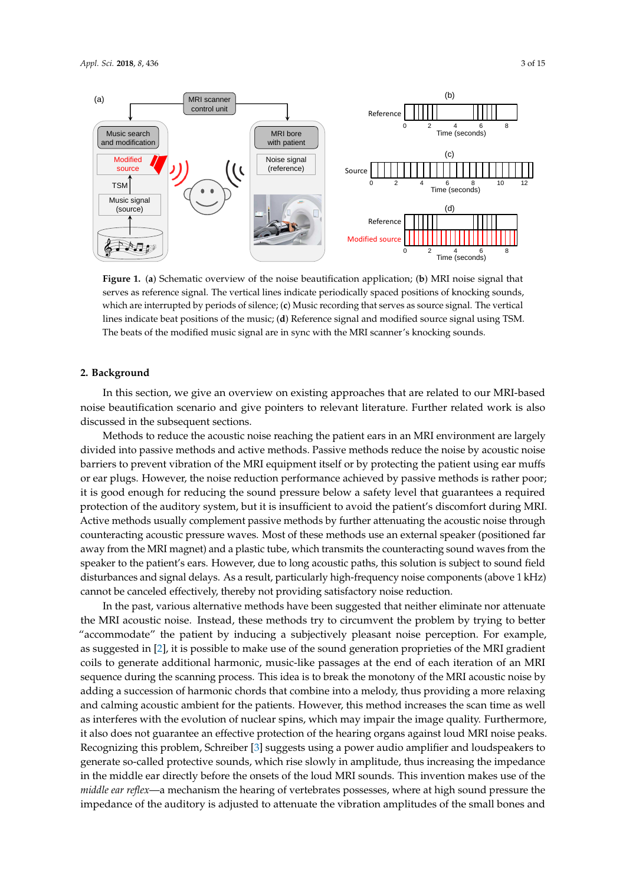<span id="page-2-1"></span>

**Figure 1.** (**a**) Schematic overview of the noise beautification application; (**b**) MRI noise signal that serves as reference signal. The vertical lines indicate periodically spaced positions of knocking sounds, which are interrupted by periods of silence; (**c**) Music recording that serves as source signal. The vertical lines indicate beat positions of the music; (**d**) Reference signal and modified source signal using TSM. The beats of the modified music signal are in sync with the MRI scanner's knocking sounds.

## <span id="page-2-0"></span>**2. Background**

In this section, we give an overview on existing approaches that are related to our MRI-based noise beautification scenario and give pointers to relevant literature. Further related work is also discussed in the subsequent sections.

Methods to reduce the acoustic noise reaching the patient ears in an MRI environment are largely divided into passive methods and active methods. Passive methods reduce the noise by acoustic noise barriers to prevent vibration of the MRI equipment itself or by protecting the patient using ear muffs or ear plugs. However, the noise reduction performance achieved by passive methods is rather poor; it is good enough for reducing the sound pressure below a safety level that guarantees a required protection of the auditory system, but it is insufficient to avoid the patient's discomfort during MRI. Active methods usually complement passive methods by further attenuating the acoustic noise through counteracting acoustic pressure waves. Most of these methods use an external speaker (positioned far away from the MRI magnet) and a plastic tube, which transmits the counteracting sound waves from the speaker to the patient's ears. However, due to long acoustic paths, this solution is subject to sound field disturbances and signal delays. As a result, particularly high-frequency noise components (above 1 kHz) cannot be canceled effectively, thereby not providing satisfactory noise reduction.

In the past, various alternative methods have been suggested that neither eliminate nor attenuate the MRI acoustic noise. Instead, these methods try to circumvent the problem by trying to better "accommodate" the patient by inducing a subjectively pleasant noise perception. For example, as suggested in [\[2\]](#page-13-1), it is possible to make use of the sound generation proprieties of the MRI gradient coils to generate additional harmonic, music-like passages at the end of each iteration of an MRI sequence during the scanning process. This idea is to break the monotony of the MRI acoustic noise by adding a succession of harmonic chords that combine into a melody, thus providing a more relaxing and calming acoustic ambient for the patients. However, this method increases the scan time as well as interferes with the evolution of nuclear spins, which may impair the image quality. Furthermore, it also does not guarantee an effective protection of the hearing organs against loud MRI noise peaks. Recognizing this problem, Schreiber [\[3\]](#page-13-6) suggests using a power audio amplifier and loudspeakers to generate so-called protective sounds, which rise slowly in amplitude, thus increasing the impedance in the middle ear directly before the onsets of the loud MRI sounds. This invention makes use of the *middle ear reflex*—a mechanism the hearing of vertebrates possesses, where at high sound pressure the impedance of the auditory is adjusted to attenuate the vibration amplitudes of the small bones and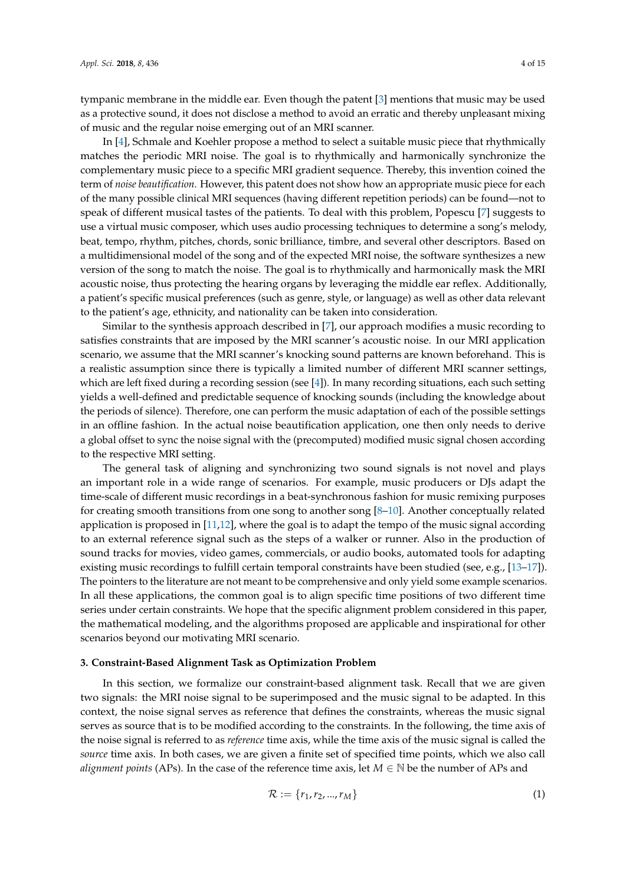tympanic membrane in the middle ear. Even though the patent [\[3\]](#page-13-6) mentions that music may be used as a protective sound, it does not disclose a method to avoid an erratic and thereby unpleasant mixing of music and the regular noise emerging out of an MRI scanner.

In [\[4\]](#page-13-2), Schmale and Koehler propose a method to select a suitable music piece that rhythmically matches the periodic MRI noise. The goal is to rhythmically and harmonically synchronize the complementary music piece to a specific MRI gradient sequence. Thereby, this invention coined the term of *noise beautification*. However, this patent does not show how an appropriate music piece for each of the many possible clinical MRI sequences (having different repetition periods) can be found—not to speak of different musical tastes of the patients. To deal with this problem, Popescu [\[7\]](#page-13-5) suggests to use a virtual music composer, which uses audio processing techniques to determine a song's melody, beat, tempo, rhythm, pitches, chords, sonic brilliance, timbre, and several other descriptors. Based on a multidimensional model of the song and of the expected MRI noise, the software synthesizes a new version of the song to match the noise. The goal is to rhythmically and harmonically mask the MRI acoustic noise, thus protecting the hearing organs by leveraging the middle ear reflex. Additionally, a patient's specific musical preferences (such as genre, style, or language) as well as other data relevant to the patient's age, ethnicity, and nationality can be taken into consideration.

Similar to the synthesis approach described in [\[7\]](#page-13-5), our approach modifies a music recording to satisfies constraints that are imposed by the MRI scanner's acoustic noise. In our MRI application scenario, we assume that the MRI scanner's knocking sound patterns are known beforehand. This is a realistic assumption since there is typically a limited number of different MRI scanner settings, which are left fixed during a recording session (see [\[4\]](#page-13-2)). In many recording situations, each such setting yields a well-defined and predictable sequence of knocking sounds (including the knowledge about the periods of silence). Therefore, one can perform the music adaptation of each of the possible settings in an offline fashion. In the actual noise beautification application, one then only needs to derive a global offset to sync the noise signal with the (precomputed) modified music signal chosen according to the respective MRI setting.

The general task of aligning and synchronizing two sound signals is not novel and plays an important role in a wide range of scenarios. For example, music producers or DJs adapt the time-scale of different music recordings in a beat-synchronous fashion for music remixing purposes for creating smooth transitions from one song to another song [\[8–](#page-13-7)[10\]](#page-13-8). Another conceptually related application is proposed in [\[11,](#page-14-0)[12\]](#page-14-1), where the goal is to adapt the tempo of the music signal according to an external reference signal such as the steps of a walker or runner. Also in the production of sound tracks for movies, video games, commercials, or audio books, automated tools for adapting existing music recordings to fulfill certain temporal constraints have been studied (see, e.g., [\[13](#page-14-2)[–17\]](#page-14-3)). The pointers to the literature are not meant to be comprehensive and only yield some example scenarios. In all these applications, the common goal is to align specific time positions of two different time series under certain constraints. We hope that the specific alignment problem considered in this paper, the mathematical modeling, and the algorithms proposed are applicable and inspirational for other scenarios beyond our motivating MRI scenario.

#### <span id="page-3-0"></span>**3. Constraint-Based Alignment Task as Optimization Problem**

In this section, we formalize our constraint-based alignment task. Recall that we are given two signals: the MRI noise signal to be superimposed and the music signal to be adapted. In this context, the noise signal serves as reference that defines the constraints, whereas the music signal serves as source that is to be modified according to the constraints. In the following, the time axis of the noise signal is referred to as *reference* time axis, while the time axis of the music signal is called the *source* time axis. In both cases, we are given a finite set of specified time points, which we also call *alignment points* (APs). In the case of the reference time axis, let  $M \in \mathbb{N}$  be the number of APs and

$$
\mathcal{R} := \{r_1, r_2, ..., r_M\}
$$
 (1)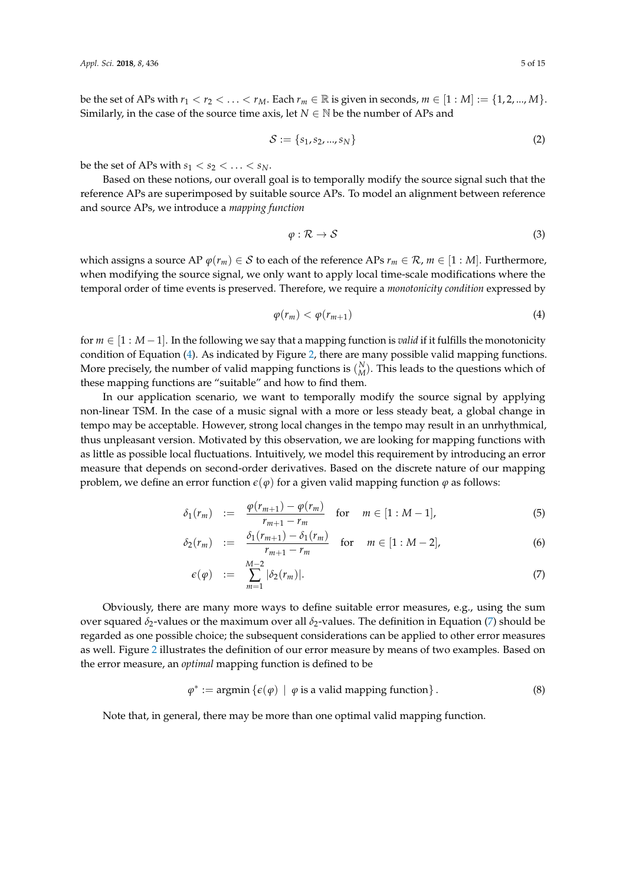be the set of APs with  $r_1 < r_2 < \ldots < r_M$ . Each  $r_m \in \mathbb{R}$  is given in seconds,  $m \in [1:M] := \{1, 2, ..., M\}$ . Similarly, in the case of the source time axis, let  $N \in \mathbb{N}$  be the number of APs and

$$
S := \{s_1, s_2, ..., s_N\}
$$
 (2)

be the set of APs with  $s_1 < s_2 < \ldots < s_N$ .

Based on these notions, our overall goal is to temporally modify the source signal such that the reference APs are superimposed by suitable source APs. To model an alignment between reference and source APs, we introduce a *mapping function*

$$
\varphi : \mathcal{R} \to \mathcal{S} \tag{3}
$$

which assigns a source AP  $\varphi(r_m) \in S$  to each of the reference APs  $r_m \in \mathcal{R}$ ,  $m \in [1 : M]$ . Furthermore, when modifying the source signal, we only want to apply local time-scale modifications where the temporal order of time events is preserved. Therefore, we require a *monotonicity condition* expressed by

<span id="page-4-0"></span>
$$
\varphi(r_m) < \varphi(r_{m+1}) \tag{4}
$$

for  $m \in [1 : M - 1]$ . In the following we say that a mapping function is *valid* if it fulfills the monotonicity condition of Equation [\(4\)](#page-4-0). As indicated by Figure [2,](#page-5-1) there are many possible valid mapping functions. More precisely, the number of valid mapping functions is  $\binom{N}{M}$ . This leads to the questions which of these mapping functions are "suitable" and how to find them.

In our application scenario, we want to temporally modify the source signal by applying non-linear TSM. In the case of a music signal with a more or less steady beat, a global change in tempo may be acceptable. However, strong local changes in the tempo may result in an unrhythmical, thus unpleasant version. Motivated by this observation, we are looking for mapping functions with as little as possible local fluctuations. Intuitively, we model this requirement by introducing an error measure that depends on second-order derivatives. Based on the discrete nature of our mapping problem, we define an error function  $\epsilon(\varphi)$  for a given valid mapping function  $\varphi$  as follows:

<span id="page-4-1"></span>
$$
\delta_1(r_m) \quad := \quad \frac{\varphi(r_{m+1}) - \varphi(r_m)}{r_{m+1} - r_m} \quad \text{for} \quad m \in [1 : M - 1], \tag{5}
$$

$$
\delta_2(r_m) := \frac{\delta_1(r_{m+1}) - \delta_1(r_m)}{r_{m+1} - r_m} \quad \text{for} \quad m \in [1 : M - 2], \tag{6}
$$

$$
\epsilon(\varphi) \quad := \quad \sum_{m=1}^{M-2} |\delta_2(r_m)|. \tag{7}
$$

Obviously, there are many more ways to define suitable error measures, e.g., using the sum over squared *δ*2-values or the maximum over all *δ*2-values. The definition in Equation [\(7\)](#page-4-1) should be regarded as one possible choice; the subsequent considerations can be applied to other error measures as well. Figure [2](#page-5-1) illustrates the definition of our error measure by means of two examples. Based on the error measure, an *optimal* mapping function is defined to be

$$
\varphi^* := \operatorname{argmin} \left\{ \epsilon(\varphi) \mid \varphi \text{ is a valid mapping function} \right\}. \tag{8}
$$

Note that, in general, there may be more than one optimal valid mapping function.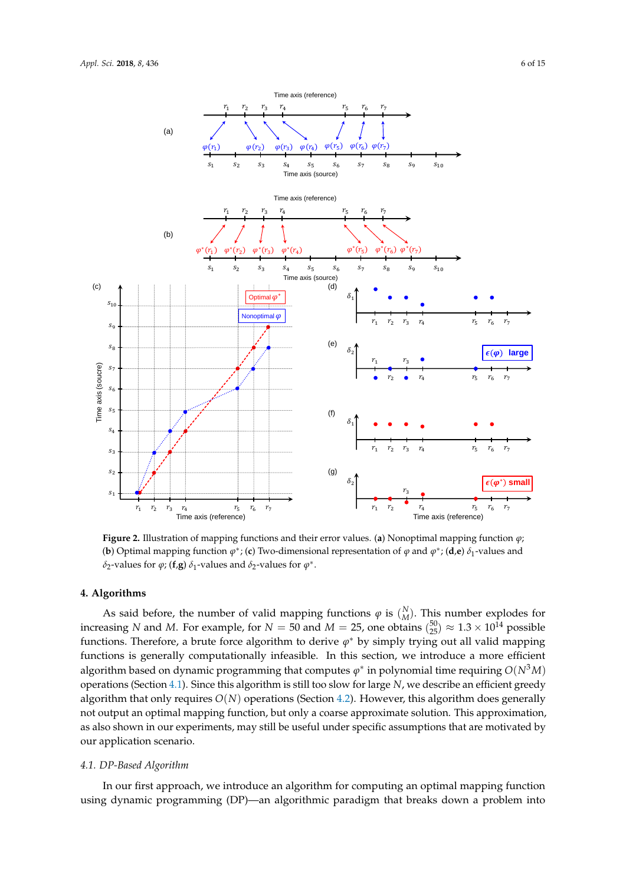<span id="page-5-1"></span>

**Figure 2.** Illustration of mapping functions and their error values. (**a**) Nonoptimal mapping function *ϕ*; **(b)** Optimal mapping function  $\varphi^*$ ; (c) Two-dimensional representation of  $\varphi$  and  $\varphi^*$ ; (d,e)  $\delta_1$ -values and  $\delta_2$ -values for  $\varphi$ ; (**f**,**g**)  $\delta_1$ -values and  $\delta_2$ -values for  $\varphi^*$ .

## <span id="page-5-0"></span>**4. Algorithms**

As said before, the number of valid mapping functions  $\varphi$  is  $\binom{N}{M}$ . This number explodes for increasing *N* and *M*. For example, for  $N = 50$  and  $M = 25$ , one obtains  $\binom{50}{25} \approx 1.3 \times 10^{14}$  possible functions. Therefore, a brute force algorithm to derive  $\varphi^*$  by simply trying out all valid mapping functions is generally computationally infeasible. In this section, we introduce a more efficient algorithm based on dynamic programming that computes  $\varphi^*$  in polynomial time requiring  $O(N^3M)$ operations (Section [4.1\)](#page-5-2). Since this algorithm is still too slow for large *N*, we describe an efficient greedy algorithm that only requires  $O(N)$  operations (Section [4.2\)](#page-7-0). However, this algorithm does generally not output an optimal mapping function, but only a coarse approximate solution. This approximation, as also shown in our experiments, may still be useful under specific assumptions that are motivated by our application scenario.

## <span id="page-5-2"></span>*4.1. DP-Based Algorithm*

In our first approach, we introduce an algorithm for computing an optimal mapping function using dynamic programming (DP)—an algorithmic paradigm that breaks down a problem into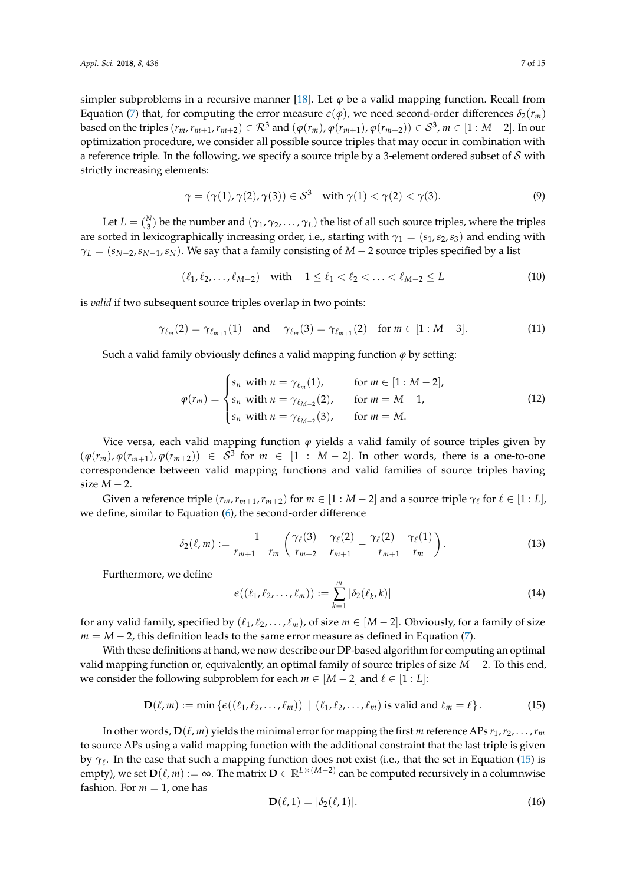simpler subproblems in a recursive manner [\[18\]](#page-14-4). Let  $\varphi$  be a valid mapping function. Recall from Equation [\(7\)](#page-4-1) that, for computing the error measure  $\varepsilon(\varphi)$ , we need second-order differences  $\delta_2(r_m)$ based on the triples  $(r_m,r_{m+1},r_{m+2})\in\mathcal{R}^3$  and  $(\varphi(r_m),\varphi(r_{m+1}),\varphi(r_{m+2}))\in\mathcal{S}^3$ ,  $m\in[1:M-2].$  In our optimization procedure, we consider all possible source triples that may occur in combination with a reference triple. In the following, we specify a source triple by a 3-element ordered subset of  $S$  with strictly increasing elements:

$$
\gamma = (\gamma(1), \gamma(2), \gamma(3)) \in \mathcal{S}^3 \quad \text{with } \gamma(1) < \gamma(2) < \gamma(3). \tag{9}
$$

Let  $L = \binom{N}{3}$  be the number and  $(\gamma_1, \gamma_2, ..., \gamma_L)$  the list of all such source triples, where the triples are sorted in lexicographically increasing order, i.e., starting with  $\gamma_1 = (s_1, s_2, s_3)$  and ending with  $\gamma_L = (s_{N-2}, s_{N-1}, s_N)$ . We say that a family consisting of *M* − 2 source triples specified by a list

$$
(\ell_1, \ell_2, \dots, \ell_{M-2}) \quad \text{with} \quad 1 \le \ell_1 < \ell_2 < \dots < \ell_{M-2} \le L \tag{10}
$$

is *valid* if two subsequent source triples overlap in two points:

$$
\gamma_{\ell_m}(2) = \gamma_{\ell_{m+1}}(1) \quad \text{and} \quad \gamma_{\ell_m}(3) = \gamma_{\ell_{m+1}}(2) \quad \text{for } m \in [1 : M - 3]. \tag{11}
$$

Such a valid family obviously defines a valid mapping function  $\varphi$  by setting:

$$
\varphi(r_m) = \begin{cases}\ns_n \text{ with } n = \gamma_{\ell_m}(1), & \text{for } m \in [1 : M - 2], \\
s_n \text{ with } n = \gamma_{\ell_{M-2}}(2), & \text{for } m = M - 1, \\
s_n \text{ with } n = \gamma_{\ell_{M-2}}(3), & \text{for } m = M.\n\end{cases}
$$
\n(12)

Vice versa, each valid mapping function  $\varphi$  yields a valid family of source triples given by  $(\varphi(r_m), \varphi(r_{m+1}), \varphi(r_{m+2})) \in S^3$  for  $m \in [1 : M - 2]$ . In other words, there is a one-to-one correspondence between valid mapping functions and valid families of source triples having size *M* − 2.

Given a reference triple  $(r_m, r_{m+1}, r_{m+2})$  for  $m \in [1 : M - 2]$  and a source triple  $\gamma_\ell$  for  $\ell \in [1 : L]$ , we define, similar to Equation [\(6\)](#page-4-1), the second-order difference

$$
\delta_2(\ell, m) := \frac{1}{r_{m+1} - r_m} \left( \frac{\gamma_{\ell}(3) - \gamma_{\ell}(2)}{r_{m+2} - r_{m+1}} - \frac{\gamma_{\ell}(2) - \gamma_{\ell}(1)}{r_{m+1} - r_m} \right).
$$
(13)

Furthermore, we define

$$
\epsilon((\ell_1,\ell_2,\ldots,\ell_m)) := \sum_{k=1}^m |\delta_2(\ell_k,k)| \tag{14}
$$

for any valid family, specified by  $(\ell_1, \ell_2, \ldots, \ell_m)$ , of size  $m \in [M-2]$ . Obviously, for a family of size  $m = M - 2$ , this definition leads to the same error measure as defined in Equation [\(7\)](#page-4-1).

With these definitions at hand, we now describe our DP-based algorithm for computing an optimal valid mapping function or, equivalently, an optimal family of source triples of size *M* − 2. To this end, we consider the following subproblem for each  $m \in [M-2]$  and  $\ell \in [1:L]$ :

<span id="page-6-0"></span>
$$
\mathbf{D}(\ell,m) := \min \left\{ \epsilon((\ell_1,\ell_2,\ldots,\ell_m)) \mid (\ell_1,\ell_2,\ldots,\ell_m) \text{ is valid and } \ell_m = \ell \right\}. \tag{15}
$$

In other words,  $\mathbf{D}(\ell, m)$  yields the minimal error for mapping the first *m* reference APs  $r_1, r_2, \ldots, r_m$ to source APs using a valid mapping function with the additional constraint that the last triple is given by *γ*ℓ . In the case that such a mapping function does not exist (i.e., that the set in Equation [\(15\)](#page-6-0) is empty), we set  $\mathbf{D}(\ell,m):=\infty.$  The matrix  $\mathbf{D}\in\mathbb{R}^{L\times{(M-2)}}$  can be computed recursively in a columnwise fashion. For  $m = 1$ , one has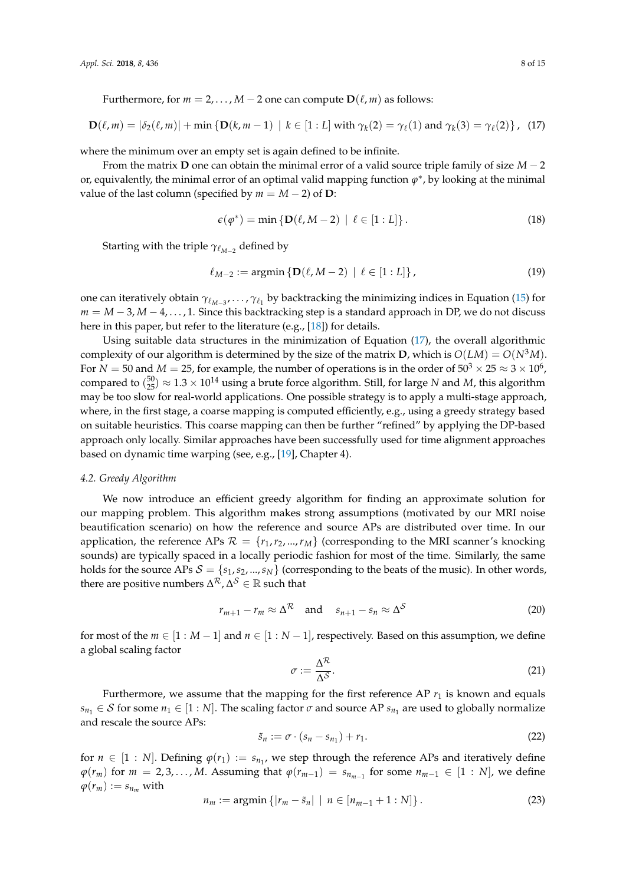Furthermore, for  $m = 2, ..., M - 2$  one can compute  $D(\ell, m)$  as follows:

<span id="page-7-1"></span>
$$
\mathbf{D}(\ell,m) = |\delta_2(\ell,m)| + \min \left\{ \mathbf{D}(k,m-1) \mid k \in [1:L] \text{ with } \gamma_k(2) = \gamma_\ell(1) \text{ and } \gamma_k(3) = \gamma_\ell(2) \right\}, \tag{17}
$$

where the minimum over an empty set is again defined to be infinite.

From the matrix **D** one can obtain the minimal error of a valid source triple family of size *M* − 2 or, equivalently, the minimal error of an optimal valid mapping function  $\varphi^*$ , by looking at the minimal value of the last column (specified by  $m = M - 2$ ) of **D**:

$$
\epsilon(\varphi^*) = \min\left\{ \mathbf{D}(\ell, M-2) \mid \ell \in [1:L] \right\}.
$$
 (18)

Starting with the triple *γ*ℓ*M*−<sup>2</sup> defined by

$$
\ell_{M-2} := \operatorname{argmin} \{ \mathbf{D}(\ell, M-2) \mid \ell \in [1:L] \},\tag{19}
$$

one can iteratively obtain  $\gamma_{\ell_{M-3}}, \ldots, \gamma_{\ell_1}$  by backtracking the minimizing indices in Equation [\(15\)](#page-6-0) for *m* = *M* − 3, *M* − 4, . . . , 1. Since this backtracking step is a standard approach in DP, we do not discuss here in this paper, but refer to the literature (e.g., [\[18\]](#page-14-4)) for details.

Using suitable data structures in the minimization of Equation [\(17\)](#page-7-1), the overall algorithmic complexity of our algorithm is determined by the size of the matrix **D**, which is  $O(LM) = O(N<sup>3</sup>M)$ . For  $N=50$  and  $M=25$ , for example, the number of operations is in the order of  $50^3\times25\approx3\times10^6$ , compared to  $\binom{50}{25} \approx 1.3 \times 10^{14}$  using a brute force algorithm. Still, for large *N* and *M*, this algorithm may be too slow for real-world applications. One possible strategy is to apply a multi-stage approach, where, in the first stage, a coarse mapping is computed efficiently, e.g., using a greedy strategy based on suitable heuristics. This coarse mapping can then be further "refined" by applying the DP-based approach only locally. Similar approaches have been successfully used for time alignment approaches based on dynamic time warping (see, e.g., [\[19\]](#page-14-5), Chapter 4).

## <span id="page-7-0"></span>*4.2. Greedy Algorithm*

We now introduce an efficient greedy algorithm for finding an approximate solution for our mapping problem. This algorithm makes strong assumptions (motivated by our MRI noise beautification scenario) on how the reference and source APs are distributed over time. In our application, the reference APs  $\mathcal{R} = \{r_1, r_2, ..., r_M\}$  (corresponding to the MRI scanner's knocking sounds) are typically spaced in a locally periodic fashion for most of the time. Similarly, the same holds for the source APs  $S = \{s_1, s_2, ..., s_N\}$  (corresponding to the beats of the music). In other words, there are positive numbers  $\Delta^\mathcal{R}$  ,  $\Delta^\mathcal{S}\in\mathbb{R}$  such that

$$
r_{m+1} - r_m \approx \Delta^{\mathcal{R}} \quad \text{and} \quad s_{n+1} - s_n \approx \Delta^{\mathcal{S}} \tag{20}
$$

for most of the  $m \in [1 : M - 1]$  and  $n \in [1 : N - 1]$ , respectively. Based on this assumption, we define a global scaling factor

<span id="page-7-2"></span>
$$
\sigma := \frac{\Delta^{\mathcal{R}}}{\Delta^{\mathcal{S}}}.\tag{21}
$$

Furthermore, we assume that the mapping for the first reference AP  $r_1$  is known and equals  $s_{n_1} \in \mathcal{S}$  for some  $n_1 \in [1:N]$ . The scaling factor  $\sigma$  and source AP  $s_{n_1}$  are used to globally normalize and rescale the source APs:

$$
\tilde{s}_n := \sigma \cdot (s_n - s_{n_1}) + r_1. \tag{22}
$$

for  $n \in [1:N]$ . Defining  $\varphi(r_1) := s_{n_1}$ , we step through the reference APs and iteratively define  $\varphi(r_m)$  for *m* = 2,3,..., *M*. Assuming that  $\varphi(r_{m-1}) = s_{n_{m-1}}$  for some  $n_{m-1} ∈ [1 : N]$ , we define  $\varphi(r_m) := s_{n_m}$  with

<span id="page-7-3"></span>
$$
n_m := \operatorname{argmin} \{|r_m - \tilde{s}_n| \mid n \in [n_{m-1} + 1 : N] \}.
$$
 (23)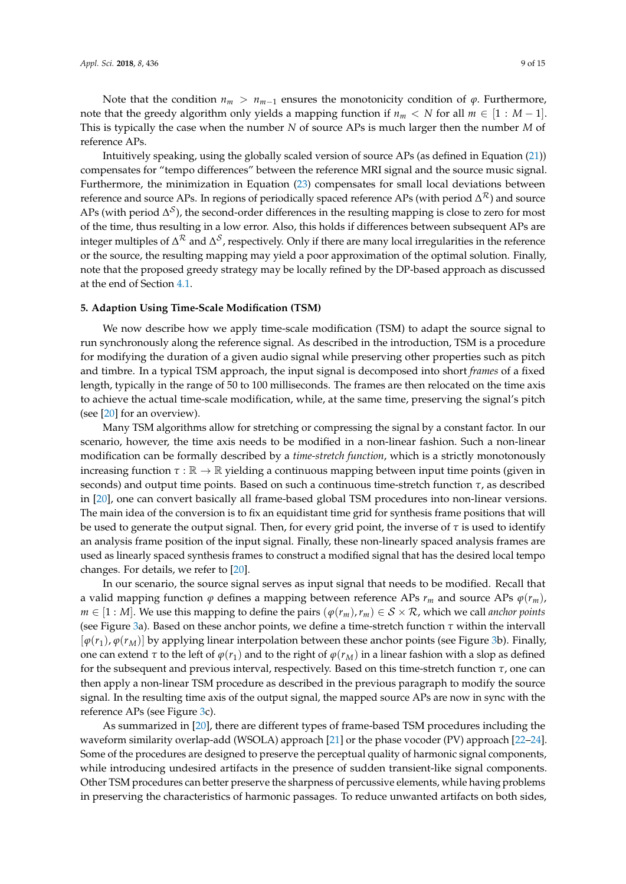Note that the condition  $n_m > n_{m-1}$  ensures the monotonicity condition of  $\varphi$ . Furthermore, note that the greedy algorithm only yields a mapping function if  $n_m < N$  for all  $m \in [1 : M - 1]$ . This is typically the case when the number *N* of source APs is much larger then the number *M* of reference APs.

Intuitively speaking, using the globally scaled version of source APs (as defined in Equation [\(21\)](#page-7-2)) compensates for "tempo differences" between the reference MRI signal and the source music signal. Furthermore, the minimization in Equation [\(23\)](#page-7-3) compensates for small local deviations between reference and source APs. In regions of periodically spaced reference APs (with period  $\Delta^\mathcal{R}$ ) and source APs (with period  $\Delta^{\mathcal{S}}$ ), the second-order differences in the resulting mapping is close to zero for most of the time, thus resulting in a low error. Also, this holds if differences between subsequent APs are integer multiples of ∆<sup>R</sup> and ∆<sup>S</sup>, respectively. Only if there are many local irregularities in the reference or the source, the resulting mapping may yield a poor approximation of the optimal solution. Finally, note that the proposed greedy strategy may be locally refined by the DP-based approach as discussed at the end of Section [4.1.](#page-5-2)

#### <span id="page-8-0"></span>**5. Adaption Using Time-Scale Modification (TSM)**

We now describe how we apply time-scale modification (TSM) to adapt the source signal to run synchronously along the reference signal. As described in the introduction, TSM is a procedure for modifying the duration of a given audio signal while preserving other properties such as pitch and timbre. In a typical TSM approach, the input signal is decomposed into short *frames* of a fixed length, typically in the range of 50 to 100 milliseconds. The frames are then relocated on the time axis to achieve the actual time-scale modification, while, at the same time, preserving the signal's pitch (see [\[20\]](#page-14-6) for an overview).

Many TSM algorithms allow for stretching or compressing the signal by a constant factor. In our scenario, however, the time axis needs to be modified in a non-linear fashion. Such a non-linear modification can be formally described by a *time-stretch function*, which is a strictly monotonously increasing function  $\tau : \mathbb{R} \to \mathbb{R}$  yielding a continuous mapping between input time points (given in seconds) and output time points. Based on such a continuous time-stretch function *τ*, as described in [\[20\]](#page-14-6), one can convert basically all frame-based global TSM procedures into non-linear versions. The main idea of the conversion is to fix an equidistant time grid for synthesis frame positions that will be used to generate the output signal. Then, for every grid point, the inverse of *τ* is used to identify an analysis frame position of the input signal. Finally, these non-linearly spaced analysis frames are used as linearly spaced synthesis frames to construct a modified signal that has the desired local tempo changes. For details, we refer to [\[20\]](#page-14-6).

In our scenario, the source signal serves as input signal that needs to be modified. Recall that a valid mapping function  $\varphi$  defines a mapping between reference APs  $r_m$  and source APs  $\varphi(r_m)$ , *m* ∈ [1 : *M*]. We use this mapping to define the pairs  $(\varphi(r_m), r_m) \in S \times R$ , which we call *anchor points* (see Figure [3a](#page-9-1)). Based on these anchor points, we define a time-stretch function *τ* within the intervall [*ϕ*(*r*1), *ϕ*(*rM*)] by applying linear interpolation between these anchor points (see Figure [3b](#page-9-1)). Finally, one can extend *τ* to the left of  $\varphi(r_1)$  and to the right of  $\varphi(r_M)$  in a linear fashion with a slop as defined for the subsequent and previous interval, respectively. Based on this time-stretch function *τ*, one can then apply a non-linear TSM procedure as described in the previous paragraph to modify the source signal. In the resulting time axis of the output signal, the mapped source APs are now in sync with the reference APs (see Figure [3c](#page-9-1)).

As summarized in [\[20\]](#page-14-6), there are different types of frame-based TSM procedures including the waveform similarity overlap-add (WSOLA) approach [\[21\]](#page-14-7) or the phase vocoder (PV) approach [\[22–](#page-14-8)[24\]](#page-14-9). Some of the procedures are designed to preserve the perceptual quality of harmonic signal components, while introducing undesired artifacts in the presence of sudden transient-like signal components. Other TSM procedures can better preserve the sharpness of percussive elements, while having problems in preserving the characteristics of harmonic passages. To reduce unwanted artifacts on both sides,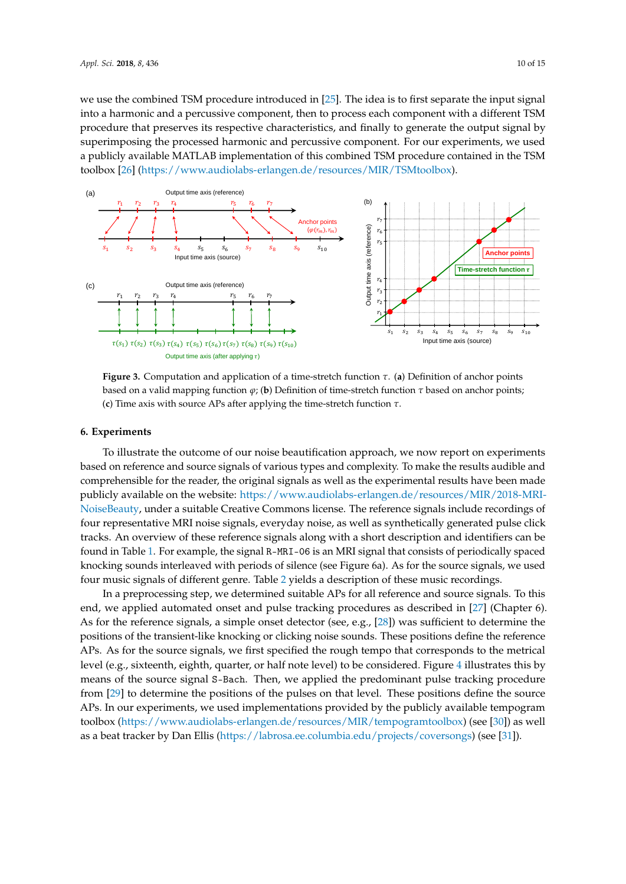we use the combined TSM procedure introduced in [\[25\]](#page-14-10). The idea is to first separate the input signal into a harmonic and a percussive component, then to process each component with a different TSM procedure that preserves its respective characteristics, and finally to generate the output signal by superimposing the processed harmonic and percussive component. For our experiments, we used a publicly available MATLAB implementation of this combined TSM procedure contained in the TSM toolbox [\[26\]](#page-14-11) [\(https://www.audiolabs-erlangen.de/resources/MIR/TSMtoolbox\)](https://www.audiolabs-erlangen.de/resources/MIR/TSMtoolbox).

<span id="page-9-1"></span>

**Figure 3.** Computation and application of a time-stretch function *τ*. (**a**) Definition of anchor points based on a valid mapping function *ϕ*; (**b**) Definition of time-stretch function *τ* based on anchor points; (**c**) Time axis with source APs after applying the time-stretch function *τ*.

## <span id="page-9-0"></span>**6. Experiments**

To illustrate the outcome of our noise beautification approach, we now report on experiments based on reference and source signals of various types and complexity. To make the results audible and comprehensible for the reader, the original signals as well as the experimental results have been made publicly available on the website: [https://www.audiolabs-erlangen.de/resources/MIR/2018-MRI-](https://www.audiolabs-erlangen.de/resources/MIR/2018-MRI-NoiseBeauty)[NoiseBeauty,](https://www.audiolabs-erlangen.de/resources/MIR/2018-MRI-NoiseBeauty) under a suitable Creative Commons license. The reference signals include recordings of four representative MRI noise signals, everyday noise, as well as synthetically generated pulse click tracks. An overview of these reference signals along with a short description and identifiers can be found in Table [1.](#page-10-0) For example, the signal R-MRI-06 is an MRI signal that consists of periodically spaced knocking sounds interleaved with periods of silence (see Figure 6a). As for the source signals, we used four music signals of different genre. Table [2](#page-10-1) yields a description of these music recordings.

In a preprocessing step, we determined suitable APs for all reference and source signals. To this end, we applied automated onset and pulse tracking procedures as described in [\[27\]](#page-14-12) (Chapter 6). As for the reference signals, a simple onset detector (see, e.g., [\[28\]](#page-14-13)) was sufficient to determine the positions of the transient-like knocking or clicking noise sounds. These positions define the reference APs. As for the source signals, we first specified the rough tempo that corresponds to the metrical level (e.g., sixteenth, eighth, quarter, or half note level) to be considered. Figure [4](#page-10-2) illustrates this by means of the source signal S-Bach. Then, we applied the predominant pulse tracking procedure from [\[29\]](#page-14-14) to determine the positions of the pulses on that level. These positions define the source APs. In our experiments, we used implementations provided by the publicly available tempogram toolbox [\(https://www.audiolabs-erlangen.de/resources/MIR/tempogramtoolbox\)](https://www.audiolabs-erlangen.de/resources/MIR/tempogramtoolbox) (see [\[30\]](#page-14-15)) as well as a beat tracker by Dan Ellis [\(https://labrosa.ee.columbia.edu/projects/coversongs\)](https://labrosa.ee.columbia.edu/projects/coversongs) (see [\[31\]](#page-14-16)).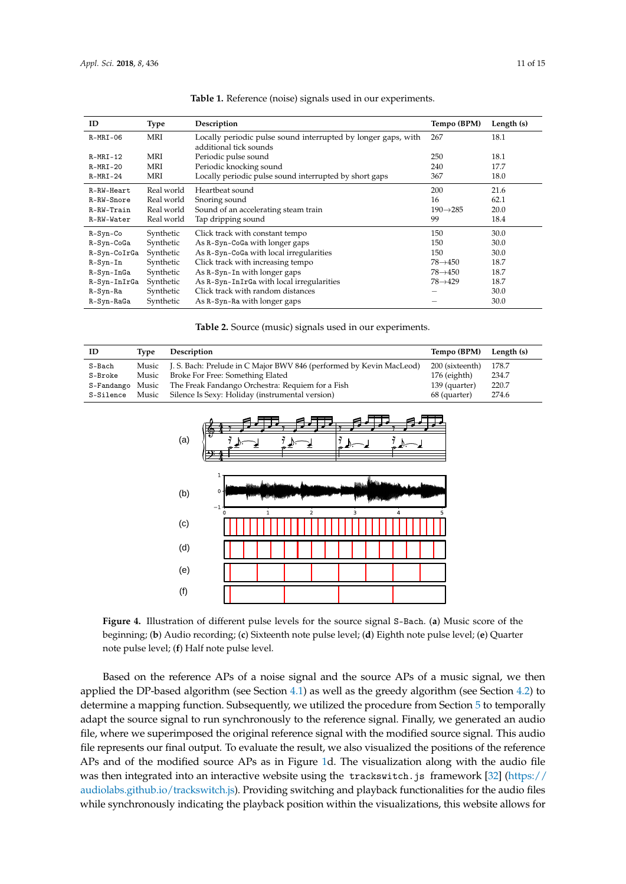<span id="page-10-0"></span>

| ID           | <b>Type</b> | Description                                                   | Tempo (BPM)           | Length (s) |
|--------------|-------------|---------------------------------------------------------------|-----------------------|------------|
| $R-MRI-06$   | MRI         | Locally periodic pulse sound interrupted by longer gaps, with | 267                   | 18.1       |
|              |             | additional tick sounds                                        |                       |            |
| $R-MRI-12$   | MRI         | Periodic pulse sound                                          | 250                   | 18.1       |
| $R-MRI-20$   | MRI         | Periodic knocking sound                                       | 240                   | 17.7       |
| $R-MRI-24$   | MRI         | Locally periodic pulse sound interrupted by short gaps        | 367                   | 18.0       |
| R-RW-Heart   | Real world  | Heartbeat sound                                               | 200                   | 21.6       |
| R-RW-Snore   | Real world  | Snoring sound                                                 | 16                    | 62.1       |
| R-RW-Train   | Real world  | Sound of an accelerating steam train                          | $190 \rightarrow 285$ | 20.0       |
| R-RW-Water   | Real world  | Tap dripping sound                                            | 99                    | 18.4       |
| R-Syn-Co     | Synthetic   | Click track with constant tempo                               | 150                   | 30.0       |
| R-Syn-CoGa   | Synthetic   | As R-Syn-CoGa with longer gaps                                | 150                   | 30.0       |
| R-Syn-CoIrGa | Synthetic   | As R-Syn-CoGa with local irregularities                       | 150                   | 30.0       |
| $R-Syn-In$   | Synthetic   | Click track with increasing tempo                             | $78 \rightarrow 450$  | 18.7       |
| R-Syn-InGa   | Synthetic   | As R-Syn-In with longer gaps                                  | $78 \rightarrow 450$  | 18.7       |
| R-Syn-InIrGa | Synthetic   | As R-Syn-InIrGa with local irregularities                     | $78 \rightarrow 429$  | 18.7       |
| R-Syn-Ra     | Synthetic   | Click track with random distances                             |                       | 30.0       |
| R-Syn-RaGa   | Synthetic   | As R-Syn-Ra with longer gaps                                  |                       | 30.0       |

| Table 1. Reference (noise) signals used in our experiments. |  |  |  |  |  |
|-------------------------------------------------------------|--|--|--|--|--|
|-------------------------------------------------------------|--|--|--|--|--|

|  |  |  | Table 2. Source (music) signals used in our experiments. |
|--|--|--|----------------------------------------------------------|
|  |  |  |                                                          |
|  |  |  |                                                          |

<span id="page-10-2"></span><span id="page-10-1"></span>

| ID        | Tvpe  | Description                                                               | Tempo (BPM) Length (s) |       |
|-----------|-------|---------------------------------------------------------------------------|------------------------|-------|
| S-Bach    |       | Music J. S. Bach: Prelude in C Major BWV 846 (performed by Kevin MacLeod) | 200 (sixteenth)        | 178.7 |
| S-Broke   | Music | Broke For Free: Something Elated                                          | $176$ (eighth)         | 234.7 |
|           |       | S-Fandango Music The Freak Fandango Orchestra: Requiem for a Fish         | 139 (quarter)          | 220.7 |
| S-Silence | Music | Silence Is Sexy: Holiday (instrumental version)                           | 68 (quarter)           | 274.6 |



**Figure 4.** Illustration of different pulse levels for the source signal S-Bach. (**a**) Music score of the beginning; (**b**) Audio recording; (**c**) Sixteenth note pulse level; (**d**) Eighth note pulse level; (**e**) Quarter note pulse level; (**f**) Half note pulse level.

Based on the reference APs of a noise signal and the source APs of a music signal, we then applied the DP-based algorithm (see Section [4.1\)](#page-5-2) as well as the greedy algorithm (see Section [4.2\)](#page-7-0) to determine a mapping function. Subsequently, we utilized the procedure from Section [5](#page-8-0) to temporally adapt the source signal to run synchronously to the reference signal. Finally, we generated an audio file, where we superimposed the original reference signal with the modified source signal. This audio file represents our final output. To evaluate the result, we also visualized the positions of the reference APs and of the modified source APs as in Figure [1d](#page-2-1). The visualization along with the audio file was then integrated into an interactive website using the trackswitch. js framework [\[32\]](#page-14-17) [\(https://](https://audiolabs.github.io/trackswitch.js) [audiolabs.github.io/trackswitch.js\)](https://audiolabs.github.io/trackswitch.js). Providing switching and playback functionalities for the audio files while synchronously indicating the playback position within the visualizations, this website allows for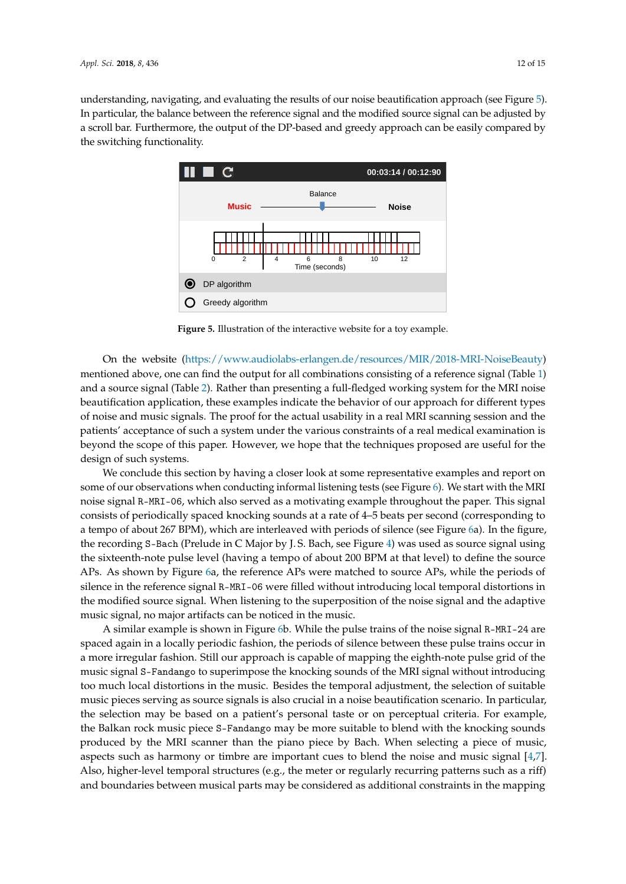<span id="page-11-0"></span>understanding, navigating, and evaluating the results of our noise beautification approach (see Figure [5\)](#page-11-0). In particular, the balance between the reference signal and the modified source signal can be adjusted by a scroll bar. Furthermore, the output of the DP-based and greedy approach can be easily compared by the switching functionality.



**Figure 5.** Illustration of the interactive website for a toy example.

On the website [\(https://www.audiolabs-erlangen.de/resources/MIR/2018-MRI-NoiseBeauty\)](https://www.audiolabs-erlangen.de/resources/MIR/2018-MRI-NoiseBeauty) mentioned above, one can find the output for all combinations consisting of a reference signal (Table [1\)](#page-10-0) and a source signal (Table [2\)](#page-10-1). Rather than presenting a full-fledged working system for the MRI noise beautification application, these examples indicate the behavior of our approach for different types of noise and music signals. The proof for the actual usability in a real MRI scanning session and the patients' acceptance of such a system under the various constraints of a real medical examination is beyond the scope of this paper. However, we hope that the techniques proposed are useful for the design of such systems.

We conclude this section by having a closer look at some representative examples and report on some of our observations when conducting informal listening tests (see Figure [6\)](#page-12-0). We start with the MRI noise signal R-MRI-06, which also served as a motivating example throughout the paper. This signal consists of periodically spaced knocking sounds at a rate of 4–5 beats per second (corresponding to a tempo of about 267 BPM), which are interleaved with periods of silence (see Figure [6a](#page-12-0)). In the figure, the recording S-Bach (Prelude in C Major by J. S. Bach, see Figure [4\)](#page-10-2) was used as source signal using the sixteenth-note pulse level (having a tempo of about 200 BPM at that level) to define the source APs. As shown by Figure [6a](#page-12-0), the reference APs were matched to source APs, while the periods of silence in the reference signal R-MRI-06 were filled without introducing local temporal distortions in the modified source signal. When listening to the superposition of the noise signal and the adaptive music signal, no major artifacts can be noticed in the music.

A similar example is shown in Figure [6b](#page-12-0). While the pulse trains of the noise signal R-MRI-24 are spaced again in a locally periodic fashion, the periods of silence between these pulse trains occur in a more irregular fashion. Still our approach is capable of mapping the eighth-note pulse grid of the music signal S-Fandango to superimpose the knocking sounds of the MRI signal without introducing too much local distortions in the music. Besides the temporal adjustment, the selection of suitable music pieces serving as source signals is also crucial in a noise beautification scenario. In particular, the selection may be based on a patient's personal taste or on perceptual criteria. For example, the Balkan rock music piece S-Fandango may be more suitable to blend with the knocking sounds produced by the MRI scanner than the piano piece by Bach. When selecting a piece of music, aspects such as harmony or timbre are important cues to blend the noise and music signal [\[4,](#page-13-2)[7\]](#page-13-5). Also, higher-level temporal structures (e.g., the meter or regularly recurring patterns such as a riff) and boundaries between musical parts may be considered as additional constraints in the mapping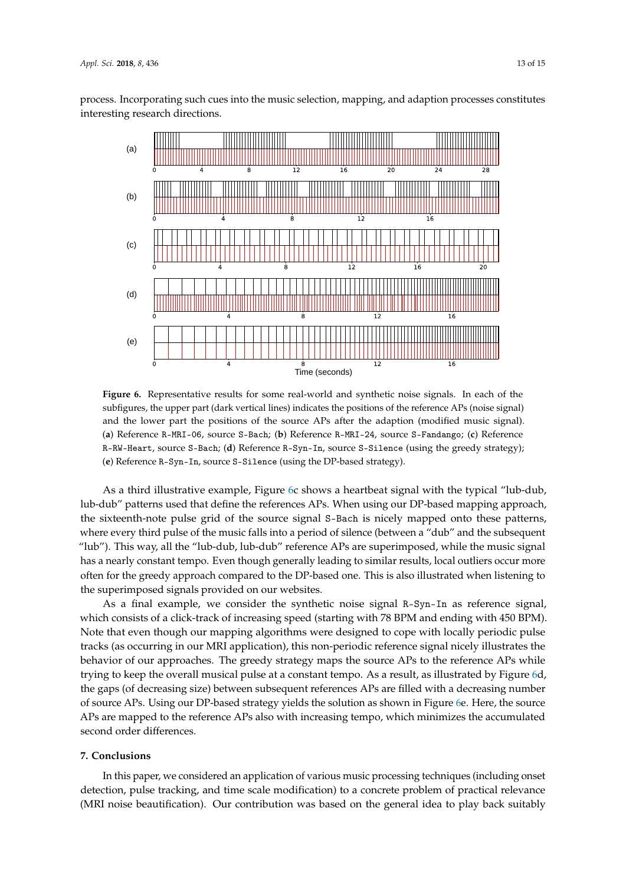<span id="page-12-0"></span>process. Incorporating such cues into the music selection, mapping, and adaption processes constitutes interesting research directions.



**Figure 6.** Representative results for some real-world and synthetic noise signals. In each of the subfigures, the upper part (dark vertical lines) indicates the positions of the reference APs (noise signal) and the lower part the positions of the source APs after the adaption (modified music signal). (**a**) Reference R-MRI-06, source S-Bach; (**b**) Reference R-MRI-24, source S-Fandango; (**c**) Reference R-RW-Heart, source S-Bach; (**d**) Reference R-Syn-In, source S-Silence (using the greedy strategy); (**e**) Reference R-Syn-In, source S-Silence (using the DP-based strategy).

As a third illustrative example, Figure [6c](#page-12-0) shows a heartbeat signal with the typical "lub-dub, lub-dub" patterns used that define the references APs. When using our DP-based mapping approach, the sixteenth-note pulse grid of the source signal S-Bach is nicely mapped onto these patterns, where every third pulse of the music falls into a period of silence (between a "dub" and the subsequent "lub"). This way, all the "lub-dub, lub-dub" reference APs are superimposed, while the music signal has a nearly constant tempo. Even though generally leading to similar results, local outliers occur more often for the greedy approach compared to the DP-based one. This is also illustrated when listening to the superimposed signals provided on our websites.

As a final example, we consider the synthetic noise signal R-Syn-In as reference signal, which consists of a click-track of increasing speed (starting with 78 BPM and ending with 450 BPM). Note that even though our mapping algorithms were designed to cope with locally periodic pulse tracks (as occurring in our MRI application), this non-periodic reference signal nicely illustrates the behavior of our approaches. The greedy strategy maps the source APs to the reference APs while trying to keep the overall musical pulse at a constant tempo. As a result, as illustrated by Figure [6d](#page-12-0), the gaps (of decreasing size) between subsequent references APs are filled with a decreasing number of source APs. Using our DP-based strategy yields the solution as shown in Figure [6e](#page-12-0). Here, the source APs are mapped to the reference APs also with increasing tempo, which minimizes the accumulated second order differences.

#### **7. Conclusions**

In this paper, we considered an application of various music processing techniques (including onset detection, pulse tracking, and time scale modification) to a concrete problem of practical relevance (MRI noise beautification). Our contribution was based on the general idea to play back suitably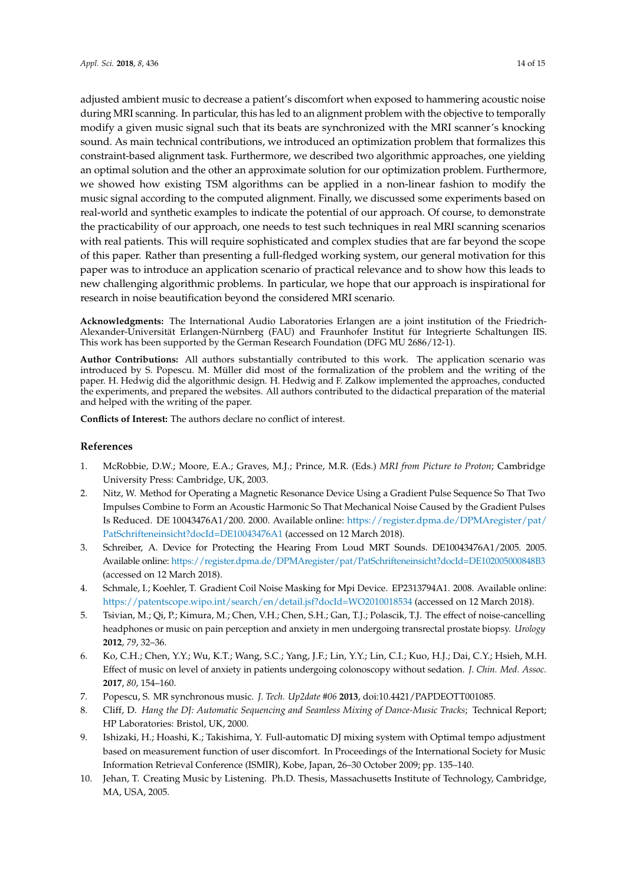adjusted ambient music to decrease a patient's discomfort when exposed to hammering acoustic noise during MRI scanning. In particular, this has led to an alignment problem with the objective to temporally modify a given music signal such that its beats are synchronized with the MRI scanner's knocking sound. As main technical contributions, we introduced an optimization problem that formalizes this constraint-based alignment task. Furthermore, we described two algorithmic approaches, one yielding an optimal solution and the other an approximate solution for our optimization problem. Furthermore, we showed how existing TSM algorithms can be applied in a non-linear fashion to modify the music signal according to the computed alignment. Finally, we discussed some experiments based on real-world and synthetic examples to indicate the potential of our approach. Of course, to demonstrate the practicability of our approach, one needs to test such techniques in real MRI scanning scenarios with real patients. This will require sophisticated and complex studies that are far beyond the scope of this paper. Rather than presenting a full-fledged working system, our general motivation for this paper was to introduce an application scenario of practical relevance and to show how this leads to new challenging algorithmic problems. In particular, we hope that our approach is inspirational for research in noise beautification beyond the considered MRI scenario.

**Acknowledgments:** The International Audio Laboratories Erlangen are a joint institution of the Friedrich-Alexander-Universität Erlangen-Nürnberg (FAU) and Fraunhofer Institut für Integrierte Schaltungen IIS. This work has been supported by the German Research Foundation (DFG MU 2686/12-1).

**Author Contributions:** All authors substantially contributed to this work. The application scenario was introduced by S. Popescu. M. Müller did most of the formalization of the problem and the writing of the paper. H. Hedwig did the algorithmic design. H. Hedwig and F. Zalkow implemented the approaches, conducted the experiments, and prepared the websites. All authors contributed to the didactical preparation of the material and helped with the writing of the paper.

**Conflicts of Interest:** The authors declare no conflict of interest.

## **References**

- <span id="page-13-0"></span>1. McRobbie, D.W.; Moore, E.A.; Graves, M.J.; Prince, M.R. (Eds.) *MRI from Picture to Proton*; Cambridge University Press: Cambridge, UK, 2003.
- <span id="page-13-1"></span>2. Nitz, W. Method for Operating a Magnetic Resonance Device Using a Gradient Pulse Sequence So That Two Impulses Combine to Form an Acoustic Harmonic So That Mechanical Noise Caused by the Gradient Pulses Is Reduced. DE 10043476A1/200. 2000. Available online: [https://register.dpma.de/DPMAregister/pat/](https://register.dpma.de/DPMAregister/pat/PatSchrifteneinsicht?docId=DE10043476A1) [PatSchrifteneinsicht?docId=DE10043476A1](https://register.dpma.de/DPMAregister/pat/PatSchrifteneinsicht?docId=DE10043476A1) (accessed on 12 March 2018).
- <span id="page-13-6"></span>3. Schreiber, A. Device for Protecting the Hearing From Loud MRT Sounds. DE10043476A1/2005. 2005. Available online: <https://register.dpma.de/DPMAregister/pat/PatSchrifteneinsicht?docId=DE102005000848B3> (accessed on 12 March 2018).
- <span id="page-13-2"></span>4. Schmale, I.; Koehler, T. Gradient Coil Noise Masking for Mpi Device. EP2313794A1. 2008. Available online: <https://patentscope.wipo.int/search/en/detail.jsf?docId=WO2010018534> (accessed on 12 March 2018).
- <span id="page-13-3"></span>5. Tsivian, M.; Qi, P.; Kimura, M.; Chen, V.H.; Chen, S.H.; Gan, T.J.; Polascik, T.J. The effect of noise-cancelling headphones or music on pain perception and anxiety in men undergoing transrectal prostate biopsy. *Urology* **2012**, *79*, 32–36.
- <span id="page-13-4"></span>6. Ko, C.H.; Chen, Y.Y.; Wu, K.T.; Wang, S.C.; Yang, J.F.; Lin, Y.Y.; Lin, C.I.; Kuo, H.J.; Dai, C.Y.; Hsieh, M.H. Effect of music on level of anxiety in patients undergoing colonoscopy without sedation. *J. Chin. Med. Assoc.* **2017**, *80*, 154–160.
- <span id="page-13-5"></span>7. Popescu, S. MR synchronous music. *J. Tech. Up2date #06* **2013**, doi:10.4421/PAPDEOTT001085.
- <span id="page-13-7"></span>8. Cliff, D. *Hang the DJ: Automatic Sequencing and Seamless Mixing of Dance-Music Tracks*; Technical Report; HP Laboratories: Bristol, UK, 2000.
- 9. Ishizaki, H.; Hoashi, K.; Takishima, Y. Full-automatic DJ mixing system with Optimal tempo adjustment based on measurement function of user discomfort. In Proceedings of the International Society for Music Information Retrieval Conference (ISMIR), Kobe, Japan, 26–30 October 2009; pp. 135–140.
- <span id="page-13-8"></span>10. Jehan, T. Creating Music by Listening. Ph.D. Thesis, Massachusetts Institute of Technology, Cambridge, MA, USA, 2005.